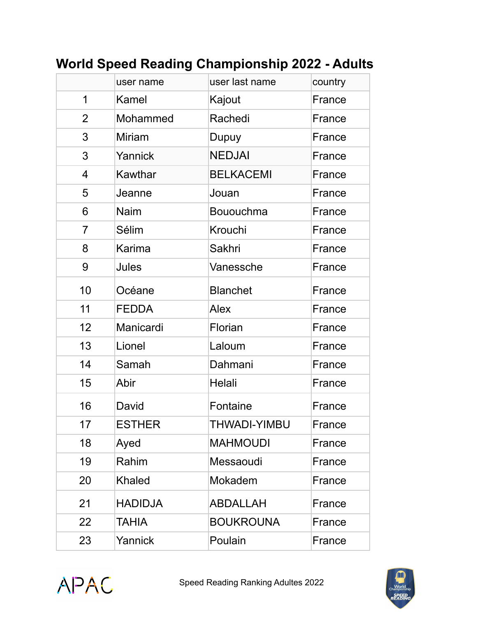|                | user name      | user last name   | country |
|----------------|----------------|------------------|---------|
|                |                |                  |         |
| 1              | Kamel          | Kajout           | France  |
| $\overline{2}$ | Mohammed       | Rachedi          | France  |
| 3              | <b>Miriam</b>  | Dupuy            | France  |
| 3              | Yannick        | <b>NEDJAI</b>    | France  |
| $\overline{4}$ | Kawthar        | <b>BELKACEMI</b> | France  |
| 5              | Jeanne         | Jouan            | France  |
| 6              | <b>Naim</b>    | Bououchma        | France  |
| 7              | Sélim          | Krouchi          | France  |
| 8              | Karima         | Sakhri           | France  |
| 9              | Jules          | Vanessche        | France  |
| 10             | Océane         | <b>Blanchet</b>  | France  |
| 11             | <b>FEDDA</b>   | <b>Alex</b>      | France  |
| 12             | Manicardi      | Florian          | France  |
| 13             | Lionel         | Laloum           | France  |
| 14             | Samah          | Dahmani          | France  |
| 15             | Abir           | Helali           | France  |
| 16             | David          | Fontaine         | France  |
| 17             | <b>ESTHER</b>  | THWADI-YIMBU     | France  |
| 18             | Ayed           | <b>MAHMOUDI</b>  | France  |
| 19             | Rahim          | Messaoudi        | France  |
| 20             | <b>Khaled</b>  | Mokadem          | France  |
| 21             | <b>HADIDJA</b> | <b>ABDALLAH</b>  | France  |
| 22             | <b>TAHIA</b>   | <b>BOUKROUNA</b> | France  |
| 23             | Yannick        | Poulain          | France  |

## **World Speed Reading Championship 2022 - Adults**



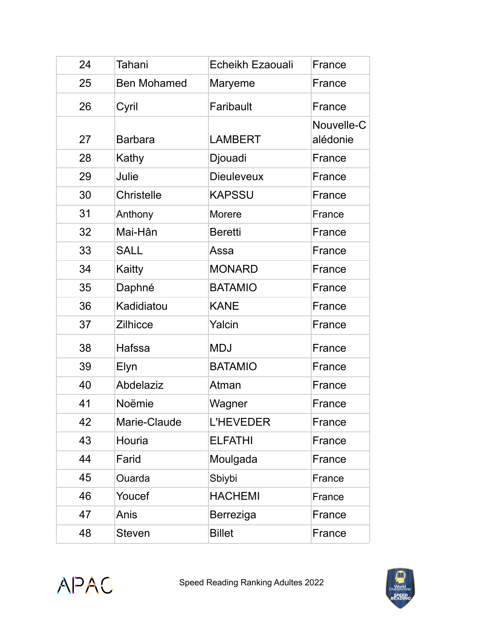| 24 | Tahani             | Echeikh Ezaouali  | France                 |
|----|--------------------|-------------------|------------------------|
| 25 | <b>Ben Mohamed</b> | Maryeme           | France                 |
| 26 | Cyril              | Faribault         | France                 |
| 27 | <b>Barbara</b>     | <b>LAMBERT</b>    | Nouvelle-C<br>alédonie |
| 28 | Kathy              | Djouadi           | France                 |
| 29 | Julie              | <b>Dieuleveux</b> | France                 |
| 30 | <b>Christelle</b>  | <b>KAPSSU</b>     | France                 |
| 31 | Anthony            | <b>Morere</b>     | France                 |
| 32 | Mai-Hân            | <b>Beretti</b>    | France                 |
| 33 | <b>SALL</b>        | Assa              | France                 |
| 34 | Kaitty             | <b>MONARD</b>     | France                 |
| 35 | Daphné             | <b>BATAMIO</b>    | France                 |
| 36 | Kadidiatou         | <b>KANE</b>       | France                 |
| 37 | <b>Zilhicce</b>    | Yalcin            | France                 |
| 38 | Hafssa             | <b>MDJ</b>        | France                 |
| 39 | Elyn               | <b>BATAMIO</b>    | France                 |
| 40 | Abdelaziz          | Atman             | France                 |
| 41 | Noëmie             | Wagner            | France                 |
| 42 | Marie-Claude       | <b>L'HEVEDER</b>  | France                 |
| 43 | Houria             | <b>ELFATHI</b>    | France                 |
| 44 | Farid              | Moulgada          | France                 |
| 45 | Ouarda             | Sbiybi            | France                 |
| 46 | Youcef             | <b>HACHEMI</b>    | France                 |
| 47 | Anis               | Berreziga         | France                 |
| 48 | <b>Steven</b>      | <b>Billet</b>     | France                 |